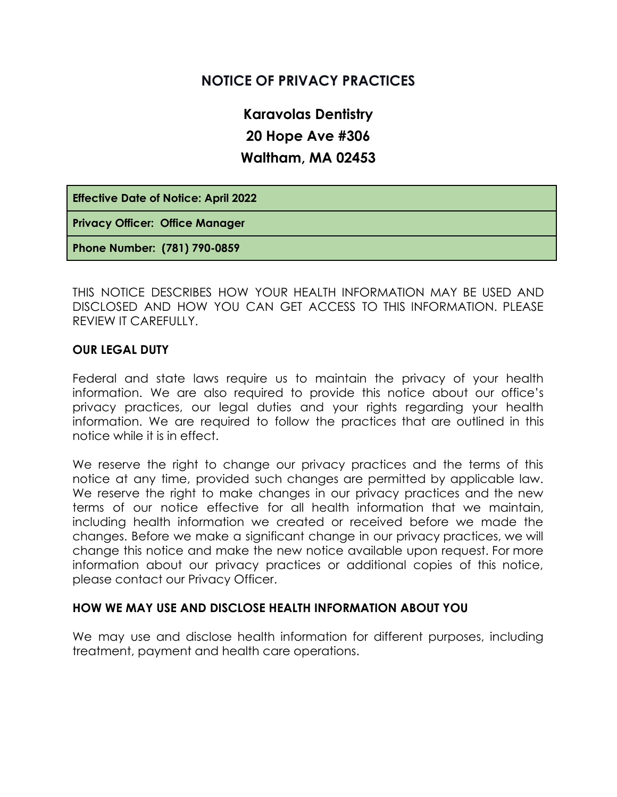# **NOTICE OF PRIVACY PRACTICES**

**Karavolas Dentistry 20 Hope Ave #306 Waltham, MA 02453**

**Effective Date of Notice: April 2022**

**Privacy Officer: Office Manager**

**Phone Number: (781) 790-0859**

THIS NOTICE DESCRIBES HOW YOUR HEALTH INFORMATION MAY BE USED AND DISCLOSED AND HOW YOU CAN GET ACCESS TO THIS INFORMATION. PLEASE REVIEW IT CAREFULLY.

#### **OUR LEGAL DUTY**

Federal and state laws require us to maintain the privacy of your health information. We are also required to provide this notice about our office's privacy practices, our legal duties and your rights regarding your health information. We are required to follow the practices that are outlined in this notice while it is in effect.

We reserve the right to change our privacy practices and the terms of this notice at any time, provided such changes are permitted by applicable law. We reserve the right to make changes in our privacy practices and the new terms of our notice effective for all health information that we maintain, including health information we created or received before we made the changes. Before we make a significant change in our privacy practices, we will change this notice and make the new notice available upon request. For more information about our privacy practices or additional copies of this notice, please contact our Privacy Officer.

#### **HOW WE MAY USE AND DISCLOSE HEALTH INFORMATION ABOUT YOU**

We may use and disclose health information for different purposes, including treatment, payment and health care operations.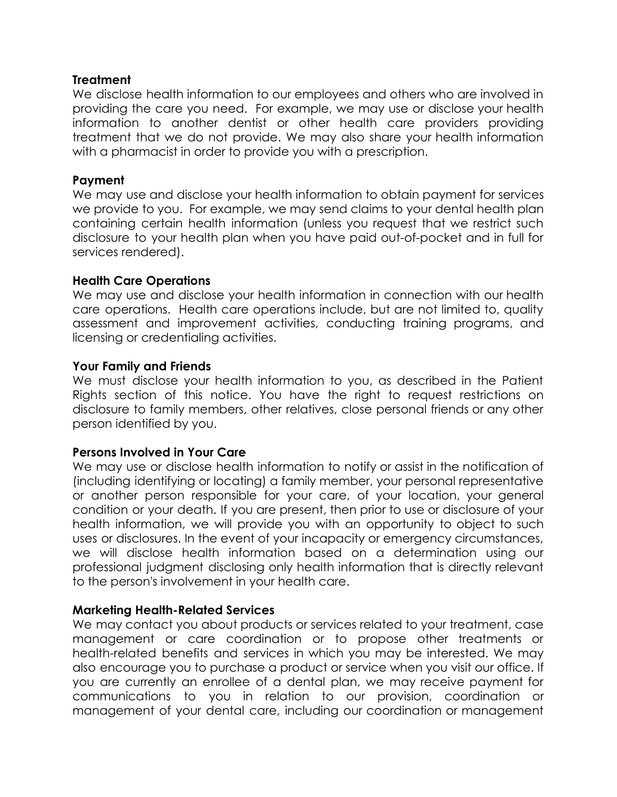### **Treatment**

We disclose health information to our employees and others who are involved in providing the care you need. For example, we may use or disclose your health information to another dentist or other health care providers providing treatment that we do not provide. We may also share your health information with a pharmacist in order to provide you with a prescription.

#### **Payment**

We may use and disclose your health information to obtain payment for services we provide to you. For example, we may send claims to your dental health plan containing certain health information (unless you request that we restrict such disclosure to your health plan when you have paid out-of-pocket and in full for services rendered).

### **Health Care Operations**

We may use and disclose your health information in connection with our health care operations. Health care operations include, but are not limited to, quality assessment and improvement activities, conducting training programs, and licensing or credentialing activities.

### **Your Family and Friends**

We must disclose your health information to you, as described in the Patient Rights section of this notice. You have the right to request restrictions on disclosure to family members, other relatives, close personal friends or any other person identified by you.

### **Persons Involved in Your Care**

We may use or disclose health information to notify or assist in the notification of (including identifying or locating) a family member, your personal representative or another person responsible for your care, of your location, your general condition or your death. If you are present, then prior to use or disclosure of your health information, we will provide you with an opportunity to object to such uses or disclosures. In the event of your incapacity or emergency circumstances, we will disclose health information based on a determination using our professional judgment disclosing only health information that is directly relevant to the person's involvement in your health care.

# **Marketing Health-Related Services**

We may contact you about products or services related to your treatment, case management or care coordination or to propose other treatments or health-related benefits and services in which you may be interested. We may also encourage you to purchase a product or service when you visit our office. If you are currently an enrollee of a dental plan, we may receive payment for communications to you in relation to our provision, coordination or management of your dental care, including our coordination or management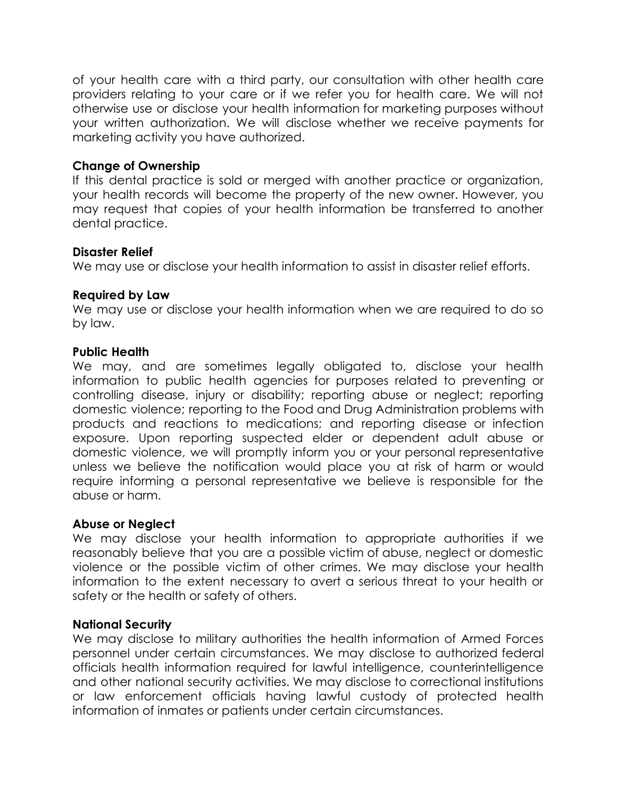of your health care with a third party, our consultation with other health care providers relating to your care or if we refer you for health care. We will not otherwise use or disclose your health information for marketing purposes without your written authorization. We will disclose whether we receive payments for marketing activity you have authorized.

# **Change of Ownership**

If this dental practice is sold or merged with another practice or organization, your health records will become the property of the new owner. However, you may request that copies of your health information be transferred to another dental practice.

#### **Disaster Relief**

We may use or disclose your health information to assist in disaster relief efforts.

# **Required by Law**

We may use or disclose your health information when we are required to do so by law.

### **Public Health**

We may, and are sometimes legally obligated to, disclose your health information to public health agencies for purposes related to preventing or controlling disease, injury or disability; reporting abuse or neglect; reporting domestic violence; reporting to the Food and Drug Administration problems with products and reactions to medications; and reporting disease or infection exposure. Upon reporting suspected elder or dependent adult abuse or domestic violence, we will promptly inform you or your personal representative unless we believe the notification would place you at risk of harm or would require informing a personal representative we believe is responsible for the abuse or harm.

### **Abuse or Neglect**

We may disclose your health information to appropriate authorities if we reasonably believe that you are a possible victim of abuse, neglect or domestic violence or the possible victim of other crimes. We may disclose your health information to the extent necessary to avert a serious threat to your health or safety or the health or safety of others.

### **National Security**

We may disclose to military authorities the health information of Armed Forces personnel under certain circumstances. We may disclose to authorized federal officials health information required for lawful intelligence, counterintelligence and other national security activities. We may disclose to correctional institutions or law enforcement officials having lawful custody of protected health information of inmates or patients under certain circumstances.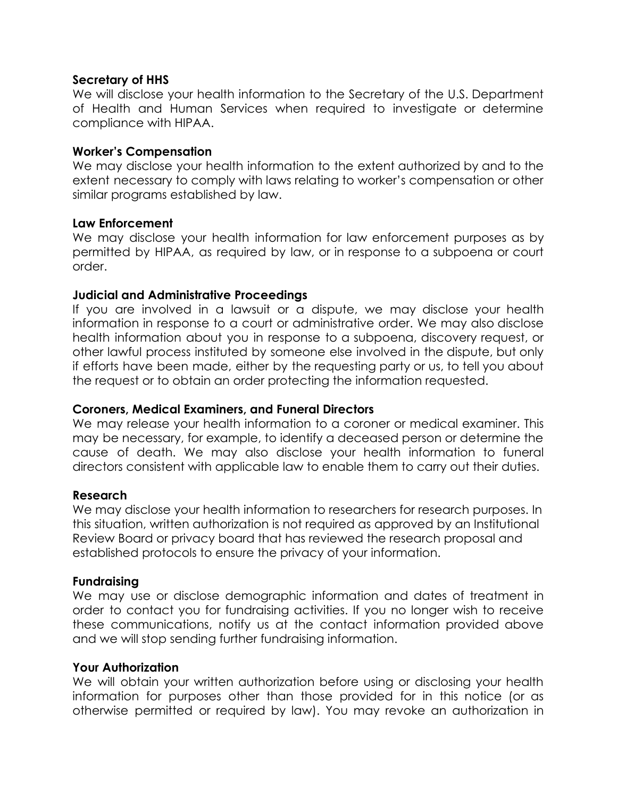### **Secretary of HHS**

We will disclose your health information to the Secretary of the U.S. Department of Health and Human Services when required to investigate or determine compliance with HIPAA.

### **Worker's Compensation**

We may disclose your health information to the extent authorized by and to the extent necessary to comply with laws relating to worker's compensation or other similar programs established by law.

# **Law Enforcement**

We may disclose your health information for law enforcement purposes as by permitted by HIPAA, as required by law, or in response to a subpoena or court order.

# **Judicial and Administrative Proceedings**

If you are involved in a lawsuit or a dispute, we may disclose your health information in response to a court or administrative order. We may also disclose health information about you in response to a subpoena, discovery request, or other lawful process instituted by someone else involved in the dispute, but only if efforts have been made, either by the requesting party or us, to tell you about the request or to obtain an order protecting the information requested.

### **Coroners, Medical Examiners, and Funeral Directors**

We may release your health information to a coroner or medical examiner. This may be necessary, for example, to identify a deceased person or determine the cause of death. We may also disclose your health information to funeral directors consistent with applicable law to enable them to carry out their duties.

### **Research**

We may disclose your health information to researchers for research purposes. In this situation, written authorization is not required as approved by an Institutional Review Board or privacy board that has reviewed the research proposal and established protocols to ensure the privacy of your information.

### **Fundraising**

We may use or disclose demographic information and dates of treatment in order to contact you for fundraising activities. If you no longer wish to receive these communications, notify us at the contact information provided above and we will stop sending further fundraising information.

### **Your Authorization**

We will obtain your written authorization before using or disclosing your health information for purposes other than those provided for in this notice (or as otherwise permitted or required by law). You may revoke an authorization in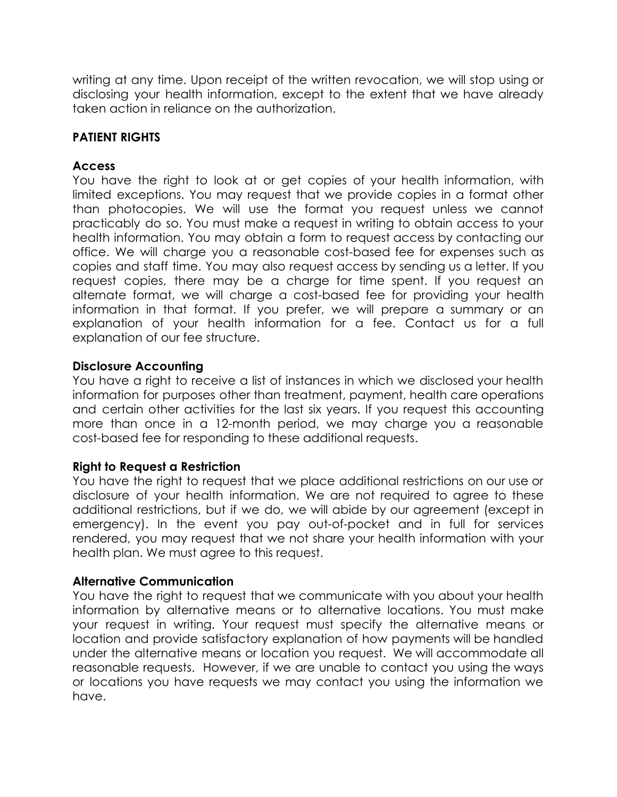writing at any time. Upon receipt of the written revocation, we will stop using or disclosing your health information, except to the extent that we have already taken action in reliance on the authorization.

# **PATIENT RIGHTS**

# **Access**

You have the right to look at or get copies of your health information, with limited exceptions. You may request that we provide copies in a format other than photocopies. We will use the format you request unless we cannot practicably do so. You must make a request in writing to obtain access to your health information. You may obtain a form to request access by contacting our office. We will charge you a reasonable cost-based fee for expenses such as copies and staff time. You may also request access by sending us a letter. If you request copies, there may be a charge for time spent. If you request an alternate format, we will charge a cost-based fee for providing your health information in that format. If you prefer, we will prepare a summary or an explanation of your health information for a fee. Contact us for a full explanation of our fee structure.

### **Disclosure Accounting**

You have a right to receive a list of instances in which we disclosed your health information for purposes other than treatment, payment, health care operations and certain other activities for the last six years. If you request this accounting more than once in a 12-month period, we may charge you a reasonable cost-based fee for responding to these additional requests.

### **Right to Request a Restriction**

You have the right to request that we place additional restrictions on our use or disclosure of your health information. We are not required to agree to these additional restrictions, but if we do, we will abide by our agreement (except in emergency). In the event you pay out-of-pocket and in full for services rendered, you may request that we not share your health information with your health plan. We must agree to this request.

### **Alternative Communication**

You have the right to request that we communicate with you about your health information by alternative means or to alternative locations. You must make your request in writing. Your request must specify the alternative means or location and provide satisfactory explanation of how payments will be handled under the alternative means or location you request. We will accommodate all reasonable requests. However, if we are unable to contact you using the ways or locations you have requests we may contact you using the information we have.